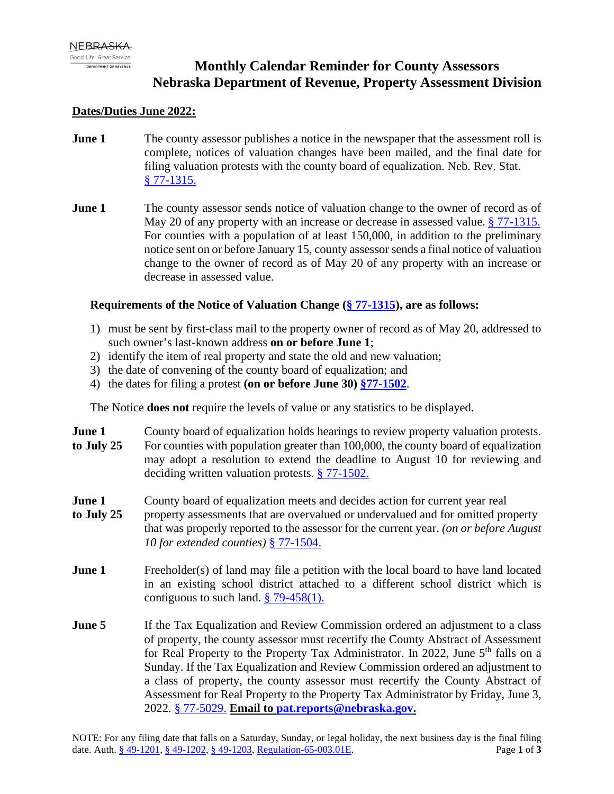# **Monthly Calendar Reminder for County Assessors Nebraska Department of Revenue, Property Assessment Division**

## **Dates/Duties June 2022:**

- **June 1** The county assessor publishes a notice in the newspaper that the assessment roll is complete, notices of valuation changes have been mailed, and the final date for filing valuation protests with the county board of equalization. Neb. Rev. Stat. [§ 77-1315.](https://nebraskalegislature.gov/laws/statutes.php?statute=77-1315)
- **June 1** The county assessor sends notice of valuation change to the owner of record as of May 20 of any property with an increase or decrease in assessed value. [§ 77-1315.](https://nebraskalegislature.gov/laws/statutes.php?statute=77-1315) For counties with a population of at least 150,000, in addition to the preliminary notice sent on or before January 15, county assessor sends a final notice of valuation change to the owner of record as of May 20 of any property with an increase or decrease in assessed value.

### **Requirements of the Notice of Valuation Change (§ [77-1315\)](https://nebraskalegislature.gov/laws/statutes.php?statute=77-1315), are as follows:**

- 1) must be sent by first-class mail to the property owner of record as of May 20, addressed to such owner's last-known address **on or before June 1**;
- 2) identify the item of real property and state the old and new valuation;
- 3) the date of convening of the county board of equalization; and
- 4) the dates for filing a protest **(on or before June 30) [§77-1502](https://nebraskalegislature.gov/laws/statutes.php?statute=77-1502)**.

The Notice **does not** require the levels of value or any statistics to be displayed.

- **June 1** County board of equalization holds hearings to review property valuation protests. **to July 25** For counties with population greater than 100,000, the county board of equalization may adopt a resolution to extend the deadline to August 10 for reviewing and deciding written valuation protests. [§ 77-1502.](https://nebraskalegislature.gov/laws/statutes.php?statute=77-1502)
- **June 1** County board of equalization meets and decides action for current year real
- **to July 25** property assessments that are overvalued or undervalued and for omitted property that was properly reported to the assessor for the current year. *(on or before August 10 for extended counties)* [§ 77-1504.](https://nebraskalegislature.gov/laws/statutes.php?statute=77-1504)
- **June 1** Freeholder(s) of land may file a petition with the local board to have land located in an existing school district attached to a different school district which is contiguous to such land.  $\frac{8}{9}$  79-458(1).
- **June 5** If the Tax Equalization and Review Commission ordered an adjustment to a class of property, the county assessor must recertify the County Abstract of Assessment for Real Property to the Property Tax Administrator. In 2022, June  $5<sup>th</sup>$  falls on a Sunday. If the Tax Equalization and Review Commission ordered an adjustment to a class of property, the county assessor must recertify the County Abstract of Assessment for Real Property to the Property Tax Administrator by Friday, June 3, 2022. [§ 77-5029.](https://nebraskalegislature.gov/laws/statutes.php?statute=77-5029) **Email to pat.reports@nebraska.gov.**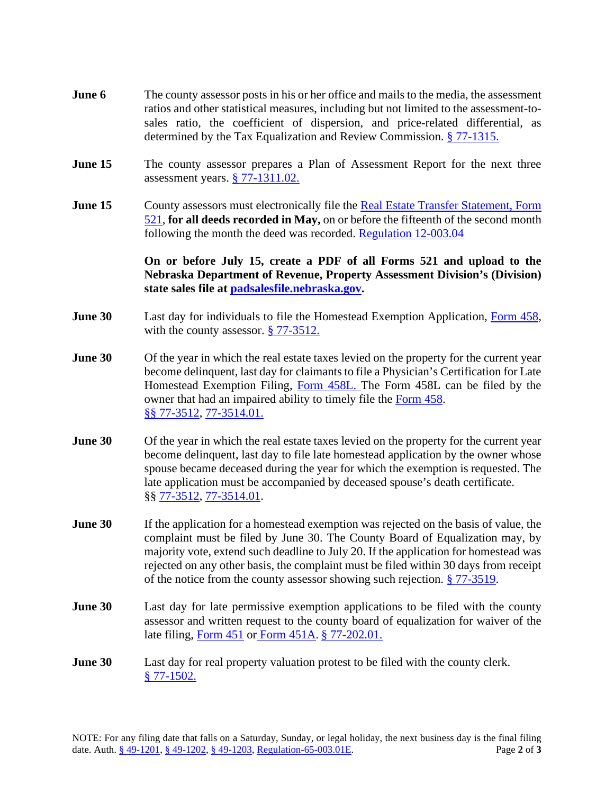- **June 6** The county assessor posts in his or her office and mails to the media, the assessment ratios and other statistical measures, including but not limited to the assessment-tosales ratio, the coefficient of dispersion, and price-related differential, as determined by the Tax Equalization and Review Commission. [§ 77-1315.](https://nebraskalegislature.gov/laws/statutes.php?statute=77-1315)
- **June 15** The county assessor prepares a Plan of Assessment Report for the next three assessment years. [§ 77-1311.02.](https://nebraskalegislature.gov/laws/statutes.php?statute=77-1311.02)
- **June 15** County assessors must electronically file the Real Estate Transfer Statement, Form [521,](https://revenue.nebraska.gov/sites/revenue.nebraska.gov/files/doc/pad/forms/521_Real_Estate_Transfer_Statement.pdf) **for all deeds recorded in May,** on or before the fifteenth of the second month following the month the deed was recorded. [Regulation 12-003.04](https://revenue.nebraska.gov/sites/revenue.nebraska.gov/files/doc/legal/regs/pad/Chapter12_Sales_File.pdf)

**On or before July 15, create a PDF of all Forms 521 and upload to the Nebraska Department of Revenue, Property Assessment Division's (Division) state sales file at [padsalesfile.nebraska.gov.](http://padsalesfile.nebraska.gov/)**

- **June 30** Last day for individuals to file the Homestead Exemption Application, [Form 458,](https://revenue.nebraska.gov/sites/revenue.nebraska.gov/files/doc/tax-forms/f_458.pdf) with the county assessor. [§ 77-3512.](https://nebraskalegislature.gov/laws/statutes.php?statute=77-3512)
- **June 30** Of the year in which the real estate taxes levied on the property for the current year become delinquent, last day for claimants to file a Physician's Certification for Late Homestead Exemption Filing, [Form 458L.](https://revenue.nebraska.gov/sites/revenue.nebraska.gov/files/doc/tax-forms/f_458l.pdf) The Form 458L can be filed by the owner that had an impaired ability to timely file the [Form 458.](https://revenue.nebraska.gov/sites/revenue.nebraska.gov/files/doc/tax-forms/f_458.pdf) §§ [77-3512,](https://nebraskalegislature.gov/laws/statutes.php?statute=77-3512) [77-3514.01.](https://nebraskalegislature.gov/laws/statutes.php?statute=77-3514.01)
- **June 30** Of the year in which the real estate taxes levied on the property for the current year become delinquent, last day to file late homestead application by the owner whose spouse became deceased during the year for which the exemption is requested. The late application must be accompanied by deceased spouse's death certificate. §§ [77-3512,](https://nebraskalegislature.gov/laws/statutes.php?statute=77-3512) [77-3514.01.](https://nebraskalegislature.gov/laws/statutes.php?statute=77-3514.01)
- **June 30** If the application for a homestead exemption was rejected on the basis of value, the complaint must be filed by June 30. The County Board of Equalization may, by majority vote, extend such deadline to July 20. If the application for homestead was rejected on any other basis, the complaint must be filed within 30 days from receipt of the notice from the county assessor showing such rejection. [§ 77-3519.](https://nebraskalegislature.gov/laws/statutes.php?statute=77-3519)
- **June 30** Last day for late permissive exemption applications to be filed with the county assessor and written request to the county board of equalization for waiver of the late filing, [Form 451](https://revenue.nebraska.gov/sites/revenue.nebraska.gov/files/doc/pad/forms/451_Exempt_App.pdf) or [Form 451A.](https://revenue.nebraska.gov/sites/revenue.nebraska.gov/files/doc/pad/forms/451A_Reaffirmation_of_Tax_Exemption.pdf) [§ 77-202.01.](https://nebraskalegislature.gov/laws/statutes.php?statute=77-202.01)
- **June 30** Last day for real property valuation protest to be filed with the county clerk. [§ 77-1502.](https://nebraskalegislature.gov/laws/statutes.php?statute=77-1502)